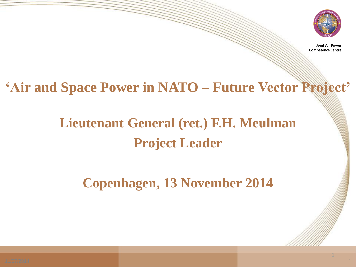

**Joint Air Power Competence Centre**

# **'Air and Space Power in NATO – Future Vector Project'**

# **Lieutenant General (ret.) F.H. Meulman Project Leader**

# **Copenhagen, 13 November 2014**

1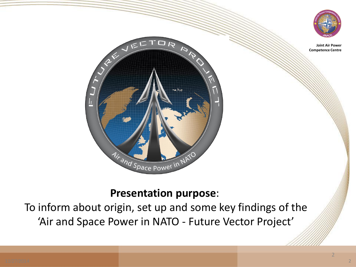

#### **Presentation purpose**:

To inform about origin, set up and some key findings of the 'Air and Space Power in NATO - Future Vector Project'

2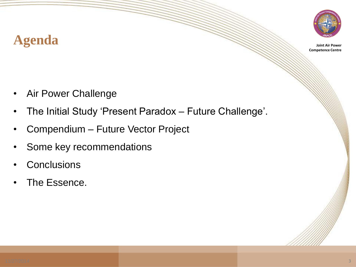# **Agenda**



- Air Power Challenge
- The Initial Study 'Present Paradox Future Challenge'.
- Compendium Future Vector Project
- Some key recommendations
- **Conclusions**
- The Essence.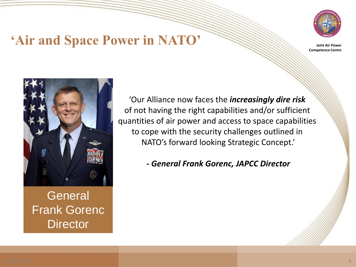

### **'Air and Space Power in NATO'**

**Joint Air Power Competence Centre**



**General** Frank Gorenc **Director** 

'Our Alliance now faces the *increasingly dire risk* of not having the right capabilities and/or sufficient quantities of air power and access to space capabilities to cope with the security challenges outlined in NATO's forward looking Strategic Concept.'

*- General Frank Gorenc, JAPCC Director*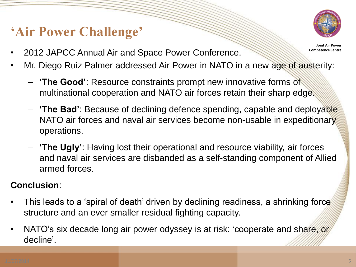## **'Air Power Challenge'**

• 2012 JAPCC Annual Air and Space Power Conference.

- **Joint Air Power Competence Centre**
- Mr. Diego Ruiz Palmer addressed Air Power in NATO in a new age of austerity:
	- **'The Good'**: Resource constraints prompt new innovative forms of multinational cooperation and NATO air forces retain their sharp edge.
	- **'The Bad'**: Because of declining defence spending, capable and deployable NATO air forces and naval air services become non-usable in expeditionary operations.
	- **'The Ugly'**: Having lost their operational and resource viability, air forces and naval air services are disbanded as a self-standing component of Allied armed forces.

#### **Conclusion**:

- This leads to a 'spiral of death' driven by declining readiness, a shrinking force structure and an ever smaller residual fighting capacity.
- NATO's six decade long air power odyssey is at risk: 'cooperate and share, or decline'.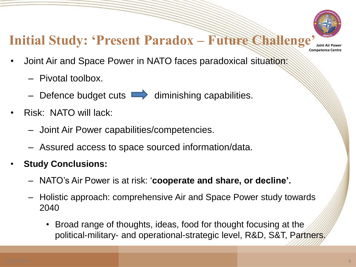

# **Initial Study: 'Present Paradox – Future Challenge'**

- **Joint Air Power Competence Centre**
- Joint Air and Space Power in NATO faces paradoxical situation:
	- Pivotal toolbox.
	- $-$  Defence budget cuts  $\longrightarrow$  diminishing capabilities.
- Risk: NATO will lack:
	- Joint Air Power capabilities/competencies.
	- Assured access to space sourced information/data.
- **Study Conclusions:**
	- NATO's Air Power is at risk: '**cooperate and share, or decline'.**
	- Holistic approach: comprehensive Air and Space Power study towards 2040
		- Broad range of thoughts, ideas, food for thought focusing at the political-military- and operational-strategic level, R&D, S&T, Partners.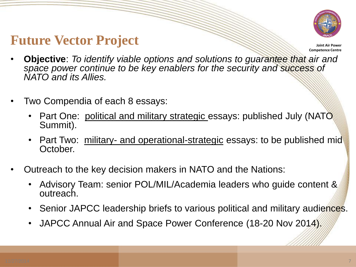

### **Future Vector Project**

- **Objective**: *To identify viable options and solutions to guarantee that air and space power continue to be key enablers for the security and success of NATO and its Allies.*
- Two Compendia of each 8 essays:
	- Part One: political and military strategic essays: published July (NATO Summit).
	- Part Two: military- and operational-strategic essays: to be published mid October.
- Outreach to the key decision makers in NATO and the Nations:
	- Advisory Team: senior POL/MIL/Academia leaders who guide content & outreach.
	- Senior JAPCC leadership briefs to various political and military audiences.
	- JAPCC Annual Air and Space Power Conference (18-20 Nov 2014).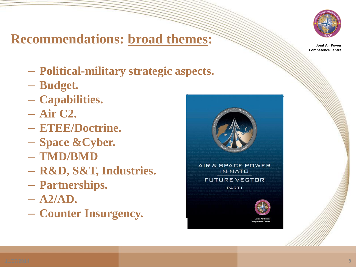

## **Recommendations: broad themes:**

- **Political-military strategic aspects.**
- **Budget.**
- **Capabilities.**
- **Air C2.**
- **ETEE/Doctrine.**
- **Space &Cyber.**
- **TMD/BMD**
- **R&D, S&T, Industries.**
- **Partnerships.**
- **A2/AD.**
- **Counter Insurgency.**

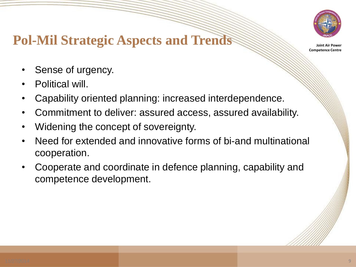

# **Pol-Mil Strategic Aspects and Trends**

- Sense of urgency.
- Political will.
- Capability oriented planning: increased interdependence.
- Commitment to deliver: assured access, assured availability.
- Widening the concept of sovereignty.
- Need for extended and innovative forms of bi-and multinational cooperation.
- Cooperate and coordinate in defence planning, capability and competence development.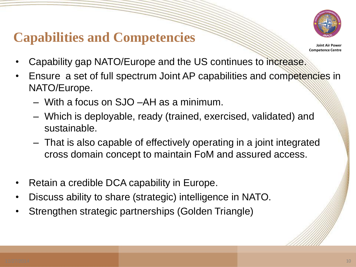

# **Capabilities and Competencies**

- Capability gap NATO/Europe and the US continues to increase.
- Ensure a set of full spectrum Joint AP capabilities and competencies in NATO/Europe.
	- With a focus on SJO –AH as a minimum.
	- Which is deployable, ready (trained, exercised, validated) and sustainable.
	- That is also capable of effectively operating in a joint integrated cross domain concept to maintain FoM and assured access.
- Retain a credible DCA capability in Europe.
- Discuss ability to share (strategic) intelligence in NATO.
- Strengthen strategic partnerships (Golden Triangle)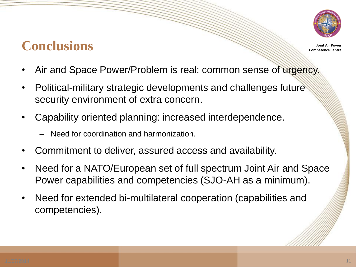

#### **Conclusions**

- Air and Space Power/Problem is real: common sense of urgency.
- Political-military strategic developments and challenges future security environment of extra concern.
- Capability oriented planning: increased interdependence.
	- Need for coordination and harmonization.
- Commitment to deliver, assured access and availability.
- Need for a NATO/European set of full spectrum Joint Air and Space Power capabilities and competencies (SJO-AH as a minimum).
- Need for extended bi-multilateral cooperation (capabilities and competencies).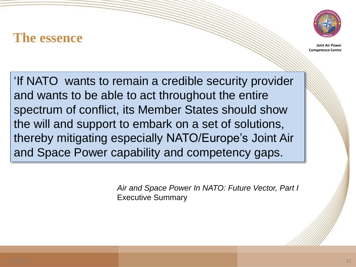#### **The essence**



**Joint Air Power Competence Centre**

'If NATO wants to remain a credible security provider and wants to be able to act throughout the entire spectrum of conflict, its Member States should show the will and support to embark on a set of solutions, thereby mitigating especially NATO/Europe's Joint Air and Space Power capability and competency gaps.

> *Air and Space Power In NATO: Future Vector, Part I* Executive Summary